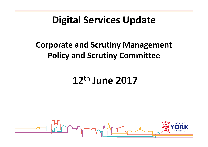#### Digital Services Update

#### Corporate and Scrutiny Management Policy and Scrutiny Committee

### 12th June 2017

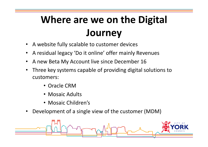# Where are we on the Digital **Journey**

- $\bullet$ A website fully scalable to customer devices
- •A residual legacy 'Do it online' offer mainly Revenues
- •A new Beta My Account live since December 16
- • Three key systems capable of providing digital solutions to customers:
	- Oracle CRM
	- Mosaic Adults
	- Mosaic Children's
- $\bullet$ Development of a single view of the customer (MDM)

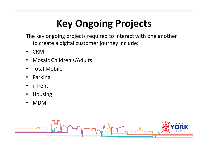## Key Ongoing Projects

The key ongoing projects required to interact with one another to create a digital customer journey include:

- •**CRM**
- Mosaic Children's/Adults•
- •Total Mobile
- •Parking
- •i-Trent
- •Housing
- •MDM

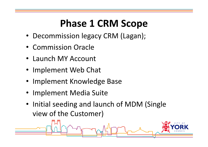## Phase 1 CRM Scope

- Decommission legacy CRM (Lagan);
- Commission Oracle
- Launch MY Account
- Implement Web Chat
- Implement Knowledge Base
- Implement Media Suite
- Initial seeding and launch of MDM (Single view of the Customer)

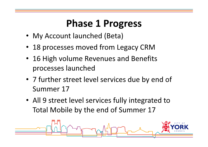### Phase 1 Progress

- My Account launched (Beta)
- 18 processes moved from Legacy CRM
- 16 High volume Revenues and Benefits processes launched
- 7 further street level services due by end of Summer 17
- All 9 street level services fully integrated to Total Mobile by the end of Summer 17

![](_page_4_Figure_6.jpeg)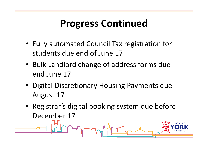### Progress Continued

- Fully automated Council Tax registration for students due end of June 17
- Bulk Landlord change of address forms due end June 17
- Digital Discretionary Housing Payments due August 17
- Registrar's digital booking system due before December 17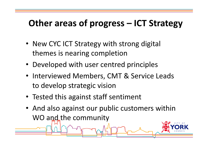#### Other areas of progress – ICT Strategy

- New CYC ICT Strategy with strong digital themes is nearing completion
- Developed with user centred principles
- Interviewed Members, CMT & Service Leads to develop strategic vision
- Tested this against staff sentiment
- And also against our public customers within WO and the community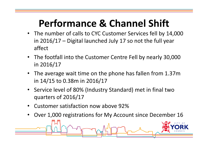## Performance & Channel Shift

- The number of calls to CYC Customer Services fell by 14,000 in 2016/17 – Digital launched July 17 so not the full year affect
- • The footfall into the Customer Centre Fell by nearly 30,000in 2016/17
- The average wait time on the phone has fallen from 1.37m in 14/15 to 0.38m in 2016/17
- Service level of 80% (Industry Standard) met in final two quarters of 2016/17
- •Customer satisfaction now above 92%
- •Over 1,000 registrations for My Account since December 16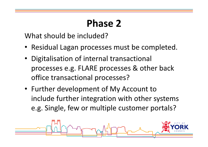### Phase 2

What should be included?

- Residual Lagan processes must be completed.
- Digitalisation of internal transactional processes e.g. FLARE processes & other back office transactional processes?
- Further development of My Account to include further integration with other systems e.g. Single, few or multiple customer portals?

![](_page_8_Figure_5.jpeg)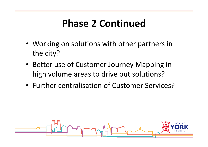#### Phase 2 Continued

- Working on solutions with other partners in the city?
- Better use of Customer Journey Mapping in high volume areas to drive out solutions?
- Further centralisation of Customer Services?

![](_page_9_Figure_4.jpeg)